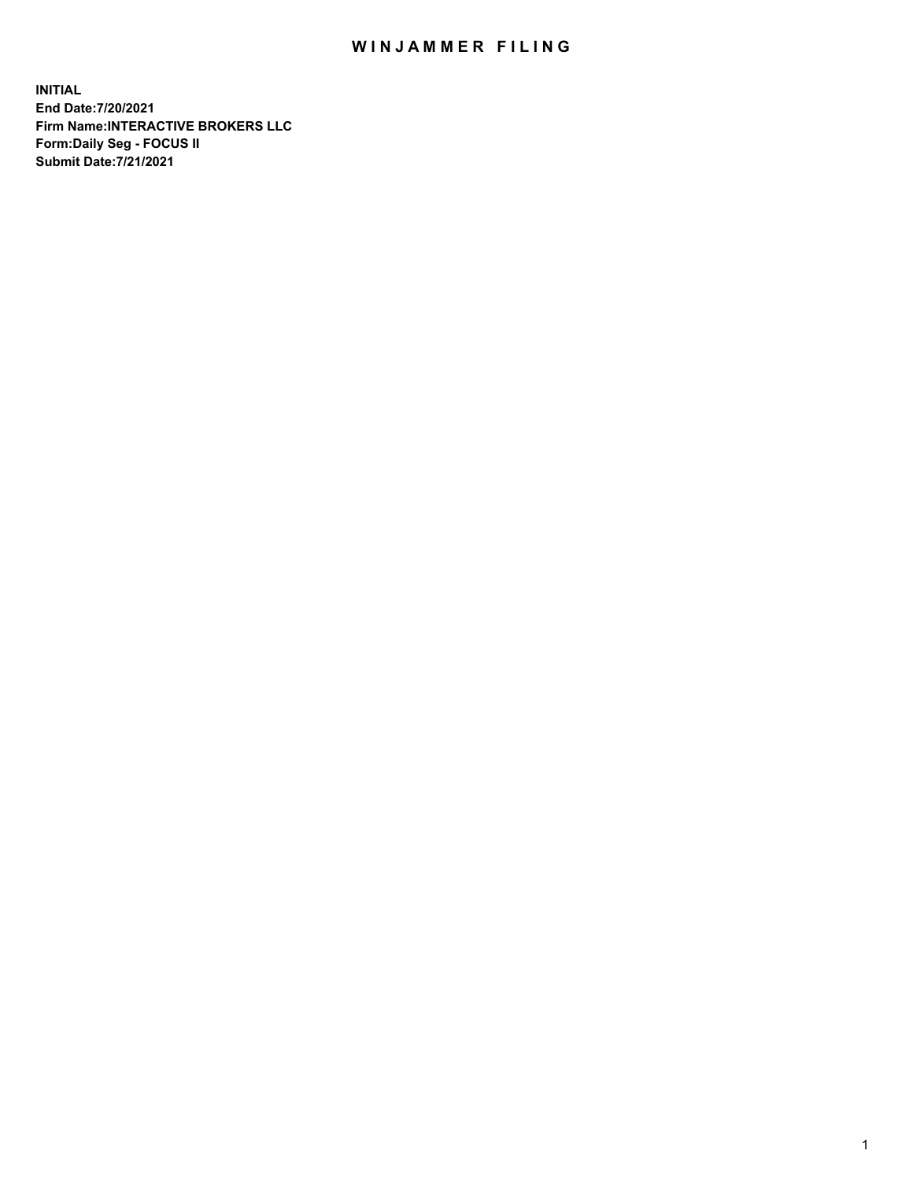## WIN JAMMER FILING

**INITIAL End Date:7/20/2021 Firm Name:INTERACTIVE BROKERS LLC Form:Daily Seg - FOCUS II Submit Date:7/21/2021**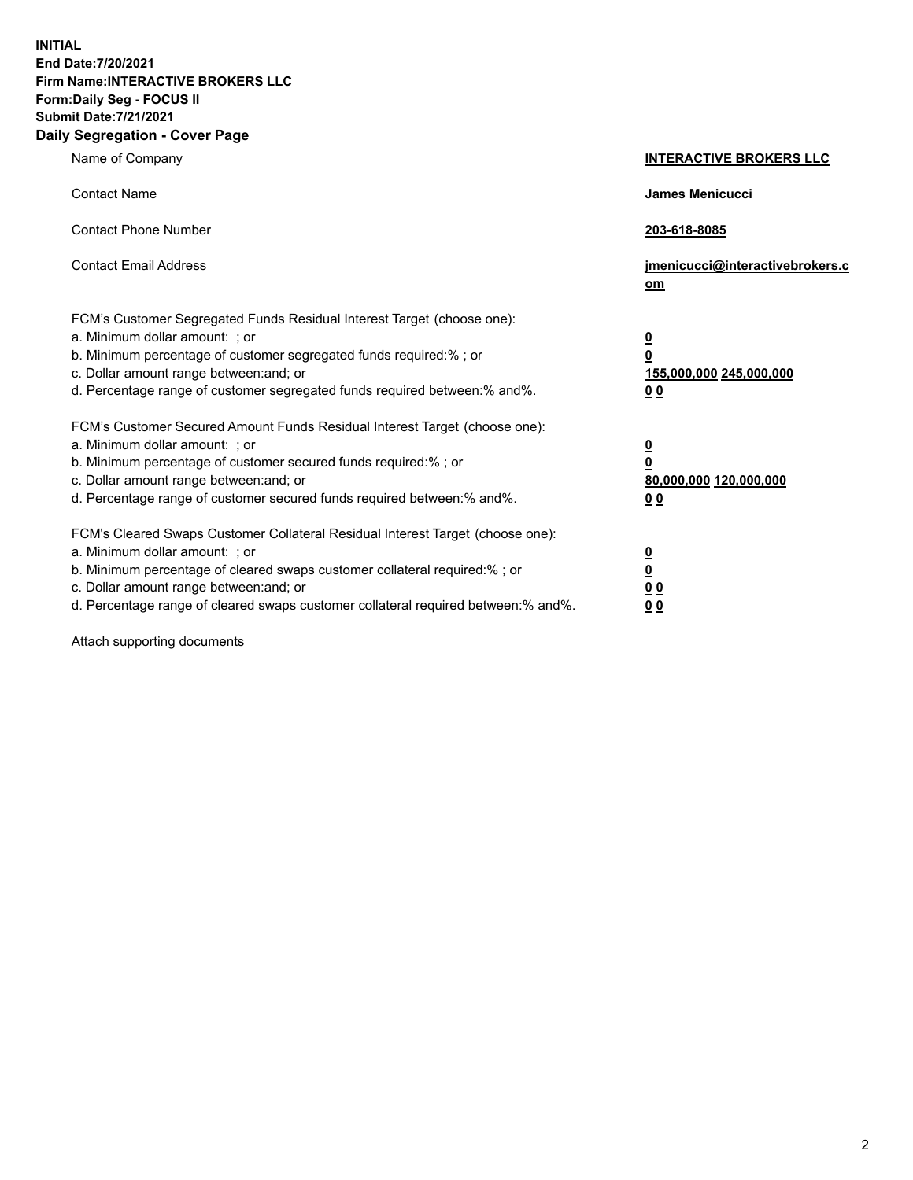**INITIAL End Date:7/20/2021 Firm Name:INTERACTIVE BROKERS LLC Form:Daily Seg - FOCUS II Submit Date:7/21/2021 Daily Segregation - Cover Page**

| Name of Company                                                                                                                                                                                                                                                                                                                | <b>INTERACTIVE BROKERS LLC</b>                                                                  |  |
|--------------------------------------------------------------------------------------------------------------------------------------------------------------------------------------------------------------------------------------------------------------------------------------------------------------------------------|-------------------------------------------------------------------------------------------------|--|
| <b>Contact Name</b>                                                                                                                                                                                                                                                                                                            | James Menicucci                                                                                 |  |
| <b>Contact Phone Number</b>                                                                                                                                                                                                                                                                                                    | 203-618-8085                                                                                    |  |
| <b>Contact Email Address</b>                                                                                                                                                                                                                                                                                                   | jmenicucci@interactivebrokers.c<br>om                                                           |  |
| FCM's Customer Segregated Funds Residual Interest Target (choose one):<br>a. Minimum dollar amount: ; or<br>b. Minimum percentage of customer segregated funds required:% ; or<br>c. Dollar amount range between: and; or<br>d. Percentage range of customer segregated funds required between: % and %.                       | $\overline{\mathbf{0}}$<br>$\overline{\mathbf{0}}$<br>155,000,000 245,000,000<br>0 <sub>0</sub> |  |
| FCM's Customer Secured Amount Funds Residual Interest Target (choose one):<br>a. Minimum dollar amount: ; or<br>b. Minimum percentage of customer secured funds required:% ; or<br>c. Dollar amount range between: and; or<br>d. Percentage range of customer secured funds required between:% and%.                           | $\overline{\mathbf{0}}$<br>$\overline{\mathbf{0}}$<br>80,000,000 120,000,000<br>0 <sub>0</sub>  |  |
| FCM's Cleared Swaps Customer Collateral Residual Interest Target (choose one):<br>a. Minimum dollar amount: ; or<br>b. Minimum percentage of cleared swaps customer collateral required:% ; or<br>c. Dollar amount range between: and; or<br>d. Percentage range of cleared swaps customer collateral required between:% and%. | $\overline{\mathbf{0}}$<br><u>0</u><br>0 <sub>0</sub><br>00                                     |  |

Attach supporting documents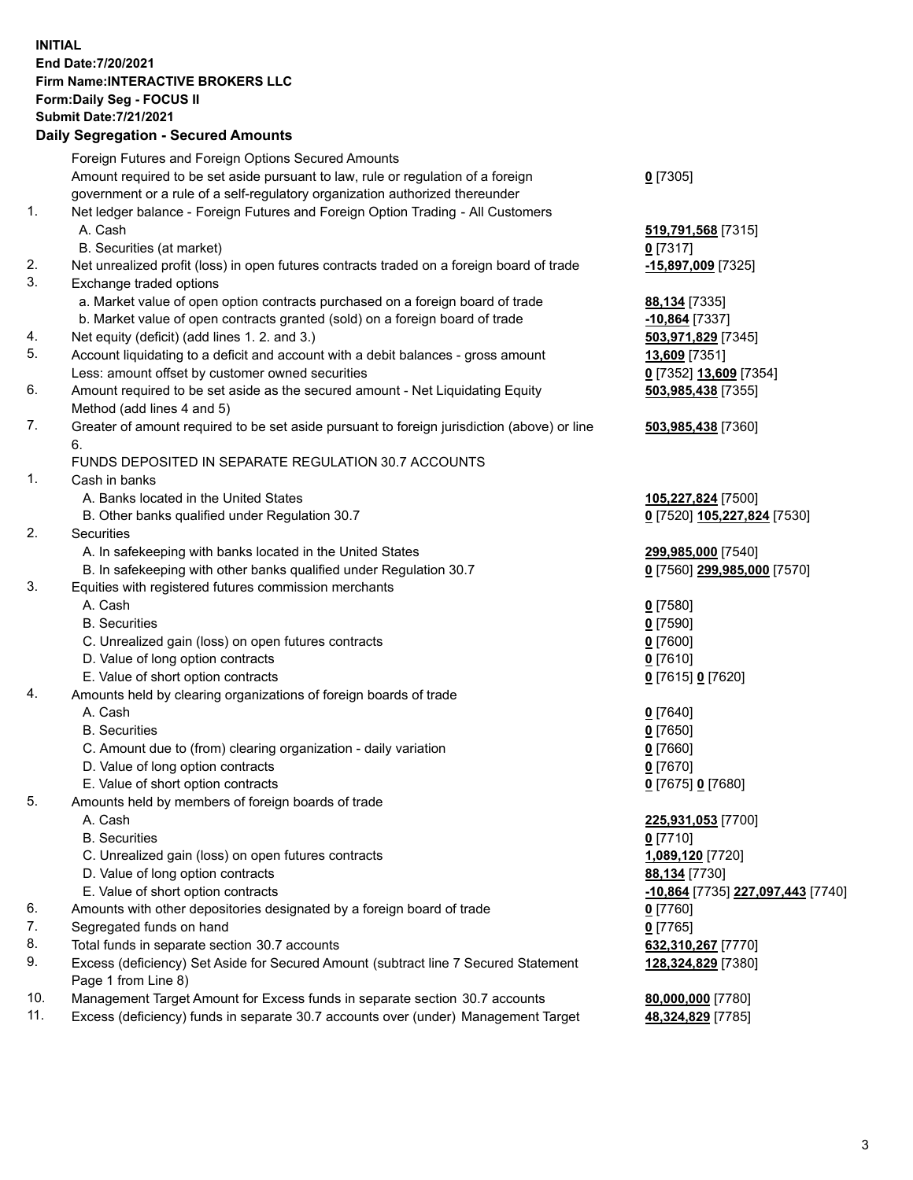**INITIAL End Date:7/20/2021 Firm Name:INTERACTIVE BROKERS LLC Form:Daily Seg - FOCUS II Submit Date:7/21/2021 Daily Segregation - Secured Amounts**

## Foreign Futures and Foreign Options Secured Amounts Amount required to be set aside pursuant to law, rule or regulation of a foreign government or a rule of a self-regulatory organization authorized thereunder **0** [7305] 1. Net ledger balance - Foreign Futures and Foreign Option Trading - All Customers A. Cash **519,791,568** [7315] B. Securities (at market) **0** [7317] 2. Net unrealized profit (loss) in open futures contracts traded on a foreign board of trade **-15,897,009** [7325] 3. Exchange traded options a. Market value of open option contracts purchased on a foreign board of trade **88,134** [7335] b. Market value of open contracts granted (sold) on a foreign board of trade **-10,864** [7337] 4. Net equity (deficit) (add lines 1. 2. and 3.) **503,971,829** [7345] 5. Account liquidating to a deficit and account with a debit balances - gross amount **13,609** [7351] Less: amount offset by customer owned securities **0** [7352] **13,609** [7354] 6. Amount required to be set aside as the secured amount - Net Liquidating Equity Method (add lines 4 and 5) **503,985,438** [7355] 7. Greater of amount required to be set aside pursuant to foreign jurisdiction (above) or line 6. **503,985,438** [7360] FUNDS DEPOSITED IN SEPARATE REGULATION 30.7 ACCOUNTS 1. Cash in banks A. Banks located in the United States **105,227,824** [7500] B. Other banks qualified under Regulation 30.7 **0** [7520] **105,227,824** [7530] 2. Securities A. In safekeeping with banks located in the United States **299,985,000** [7540] B. In safekeeping with other banks qualified under Regulation 30.7 **0** [7560] **299,985,000** [7570] 3. Equities with registered futures commission merchants A. Cash **0** [7580] B. Securities **0** [7590] C. Unrealized gain (loss) on open futures contracts **0** [7600] D. Value of long option contracts **0** [7610] E. Value of short option contracts **0** [7615] **0** [7620] 4. Amounts held by clearing organizations of foreign boards of trade A. Cash **0** [7640] B. Securities **0** [7650] C. Amount due to (from) clearing organization - daily variation **0** [7660] D. Value of long option contracts **0** [7670] E. Value of short option contracts **0** [7675] **0** [7680] 5. Amounts held by members of foreign boards of trade A. Cash **225,931,053** [7700] B. Securities **0** [7710] C. Unrealized gain (loss) on open futures contracts **1,089,120** [7720] D. Value of long option contracts **88,134** [7730] E. Value of short option contracts **-10,864** [7735] **227,097,443** [7740] 6. Amounts with other depositories designated by a foreign board of trade **0** [7760] 7. Segregated funds on hand **0** [7765] 8. Total funds in separate section 30.7 accounts **632,310,267** [7770] 9. Excess (deficiency) Set Aside for Secured Amount (subtract line 7 Secured Statement Page 1 from Line 8) **128,324,829** [7380] 10. Management Target Amount for Excess funds in separate section 30.7 accounts **80,000,000** [7780] 11. Excess (deficiency) funds in separate 30.7 accounts over (under) Management Target **48,324,829** [7785]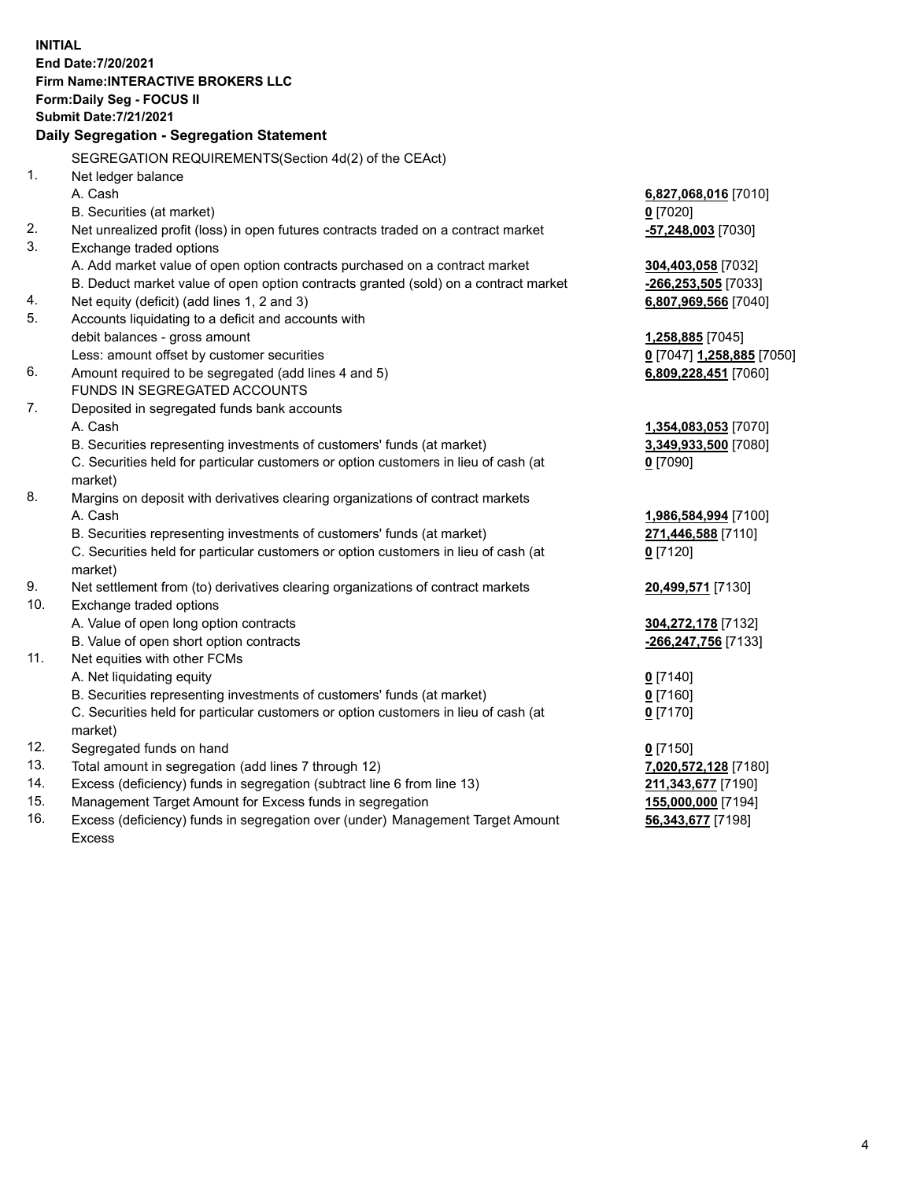**INITIAL End Date:7/20/2021 Firm Name:INTERACTIVE BROKERS LLC Form:Daily Seg - FOCUS II Submit Date:7/21/2021 Daily Segregation - Segregation Statement** SEGREGATION REQUIREMENTS(Section 4d(2) of the CEAct) 1. Net ledger balance A. Cash **6,827,068,016** [7010] B. Securities (at market) **0** [7020] 2. Net unrealized profit (loss) in open futures contracts traded on a contract market **-57,248,003** [7030] 3. Exchange traded options A. Add market value of open option contracts purchased on a contract market **304,403,058** [7032] B. Deduct market value of open option contracts granted (sold) on a contract market **-266,253,505** [7033] 4. Net equity (deficit) (add lines 1, 2 and 3) **6,807,969,566** [7040] 5. Accounts liquidating to a deficit and accounts with debit balances - gross amount **1,258,885** [7045] Less: amount offset by customer securities **0** [7047] **1,258,885** [7050] 6. Amount required to be segregated (add lines 4 and 5) **6,809,228,451** [7060] FUNDS IN SEGREGATED ACCOUNTS 7. Deposited in segregated funds bank accounts A. Cash **1,354,083,053** [7070] B. Securities representing investments of customers' funds (at market) **3,349,933,500** [7080] C. Securities held for particular customers or option customers in lieu of cash (at market) **0** [7090] 8. Margins on deposit with derivatives clearing organizations of contract markets A. Cash **1,986,584,994** [7100] B. Securities representing investments of customers' funds (at market) **271,446,588** [7110] C. Securities held for particular customers or option customers in lieu of cash (at market) **0** [7120] 9. Net settlement from (to) derivatives clearing organizations of contract markets **20,499,571** [7130] 10. Exchange traded options A. Value of open long option contracts **304,272,178** [7132] B. Value of open short option contracts **-266,247,756** [7133] 11. Net equities with other FCMs A. Net liquidating equity **0** [7140] B. Securities representing investments of customers' funds (at market) **0** [7160] C. Securities held for particular customers or option customers in lieu of cash (at market) **0** [7170] 12. Segregated funds on hand **0** [7150] 13. Total amount in segregation (add lines 7 through 12) **7,020,572,128** [7180] 14. Excess (deficiency) funds in segregation (subtract line 6 from line 13) **211,343,677** [7190] 15. Management Target Amount for Excess funds in segregation **155,000,000** [7194] **56,343,677** [7198]

16. Excess (deficiency) funds in segregation over (under) Management Target Amount Excess